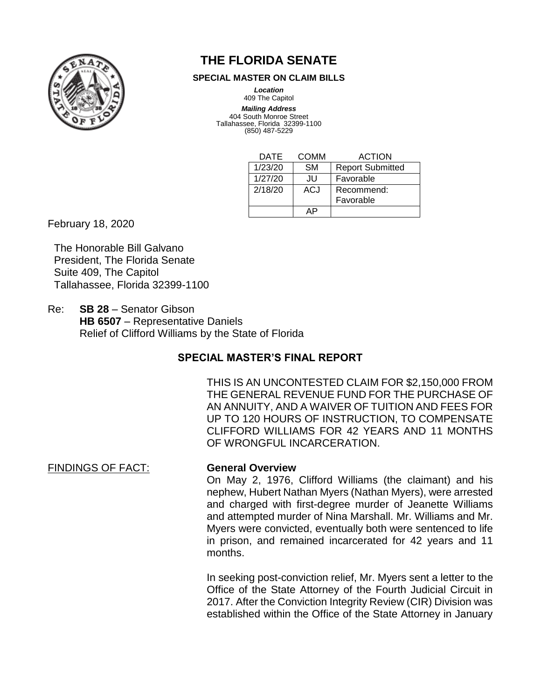

# **THE FLORIDA SENATE**

#### **SPECIAL MASTER ON CLAIM BILLS**

*Location* 409 The Capitol

*Mailing Address* 404 South Monroe Street Tallahassee, Florida 32399-1100 (850) 487-5229

| DATE    | COMM      | <b>ACTION</b>           |
|---------|-----------|-------------------------|
| 1/23/20 | <b>SM</b> | <b>Report Submitted</b> |
| 1/27/20 | JU        | Favorable               |
| 2/18/20 | ACJ       | Recommend:              |
|         |           | Favorable               |
|         |           |                         |

February 18, 2020

The Honorable Bill Galvano President, The Florida Senate Suite 409, The Capitol Tallahassee, Florida 32399-1100

Re: **SB 28** – Senator Gibson **HB 6507** – Representative Daniels Relief of Clifford Williams by the State of Florida

# **SPECIAL MASTER'S FINAL REPORT**

THIS IS AN UNCONTESTED CLAIM FOR \$2,150,000 FROM THE GENERAL REVENUE FUND FOR THE PURCHASE OF AN ANNUITY, AND A WAIVER OF TUITION AND FEES FOR UP TO 120 HOURS OF INSTRUCTION, TO COMPENSATE CLIFFORD WILLIAMS FOR 42 YEARS AND 11 MONTHS OF WRONGFUL INCARCERATION.

FINDINGS OF FACT: **General Overview**

On May 2, 1976, Clifford Williams (the claimant) and his nephew, Hubert Nathan Myers (Nathan Myers), were arrested and charged with first-degree murder of Jeanette Williams and attempted murder of Nina Marshall. Mr. Williams and Mr. Myers were convicted, eventually both were sentenced to life in prison, and remained incarcerated for 42 years and 11 months.

In seeking post-conviction relief, Mr. Myers sent a letter to the Office of the State Attorney of the Fourth Judicial Circuit in 2017. After the Conviction Integrity Review (CIR) Division was established within the Office of the State Attorney in January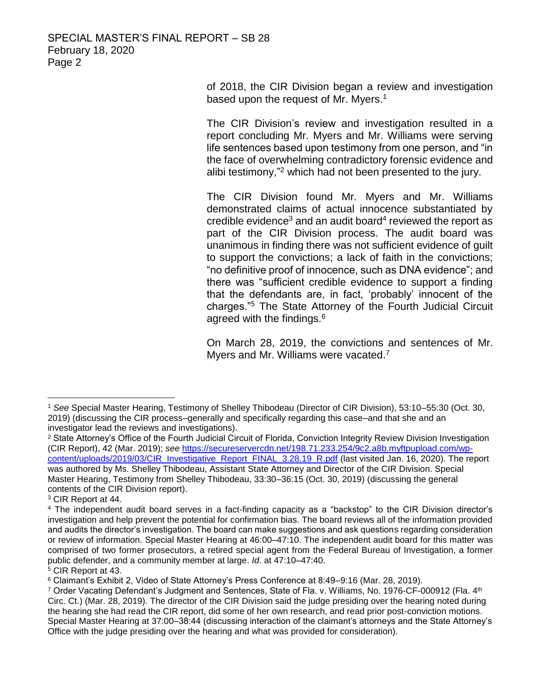of 2018, the CIR Division began a review and investigation based upon the request of Mr. Myers.<sup>1</sup>

The CIR Division's review and investigation resulted in a report concluding Mr. Myers and Mr. Williams were serving life sentences based upon testimony from one person, and "in the face of overwhelming contradictory forensic evidence and alibi testimony,"<sup>2</sup> which had not been presented to the jury.

The CIR Division found Mr. Myers and Mr. Williams demonstrated claims of actual innocence substantiated by credible evidence<sup>3</sup> and an audit board<sup>4</sup> reviewed the report as part of the CIR Division process. The audit board was unanimous in finding there was not sufficient evidence of guilt to support the convictions; a lack of faith in the convictions; "no definitive proof of innocence, such as DNA evidence"; and there was "sufficient credible evidence to support a finding that the defendants are, in fact, 'probably' innocent of the charges."<sup>5</sup> The State Attorney of the Fourth Judicial Circuit agreed with the findings.<sup>6</sup>

On March 28, 2019, the convictions and sentences of Mr. Myers and Mr. Williams were vacated.<sup>7</sup>

<sup>1</sup> *See* Special Master Hearing, Testimony of Shelley Thibodeau (Director of CIR Division), 53:10–55:30 (Oct. 30, 2019) (discussing the CIR process–generally and specifically regarding this case–and that she and an investigator lead the reviews and investigations).

<sup>&</sup>lt;sup>2</sup> State Attorney's Office of the Fourth Judicial Circuit of Florida, Conviction Integrity Review Division Investigation (CIR Report), 42 (Mar. 2019); *see* [https://secureservercdn.net/198.71.233.254/9c2.a8b.myftpupload.com/wp](https://secureservercdn.net/198.71.233.254/9c2.a8b.myftpupload.com/wp-content/uploads/2019/03/CIR_Investigative_Report_FINAL_3.28.19_R.pdf)[content/uploads/2019/03/CIR\\_Investigative\\_Report\\_FINAL\\_3.28.19\\_R.pdf](https://secureservercdn.net/198.71.233.254/9c2.a8b.myftpupload.com/wp-content/uploads/2019/03/CIR_Investigative_Report_FINAL_3.28.19_R.pdf) (last visited Jan. 16, 2020). The report was authored by Ms. Shelley Thibodeau, Assistant State Attorney and Director of the CIR Division. Special Master Hearing, Testimony from Shelley Thibodeau, 33:30–36:15 (Oct. 30, 2019) (discussing the general contents of the CIR Division report).

<sup>3</sup> CIR Report at 44.

<sup>4</sup> The independent audit board serves in a fact-finding capacity as a "backstop" to the CIR Division director's investigation and help prevent the potential for confirmation bias. The board reviews all of the information provided and audits the director's investigation. The board can make suggestions and ask questions regarding consideration or review of information. Special Master Hearing at 46:00–47:10. The independent audit board for this matter was comprised of two former prosecutors, a retired special agent from the Federal Bureau of Investigation, a former public defender, and a community member at large. *Id*. at 47:10–47:40.

<sup>5</sup> CIR Report at 43.

<sup>6</sup> Claimant's Exhibit 2, Video of State Attorney's Press Conference at 8:49–9:16 (Mar. 28, 2019).

<sup>7</sup> Order Vacating Defendant's Judgment and Sentences, State of Fla. v. Williams, No. 1976-CF-000912 (Fla. 4th Circ. Ct.) (Mar. 28, 2019). The director of the CIR Division said the judge presiding over the hearing noted during the hearing she had read the CIR report, did some of her own research, and read prior post-conviction motions. Special Master Hearing at 37:00–38:44 (discussing interaction of the claimant's attorneys and the State Attorney's Office with the judge presiding over the hearing and what was provided for consideration).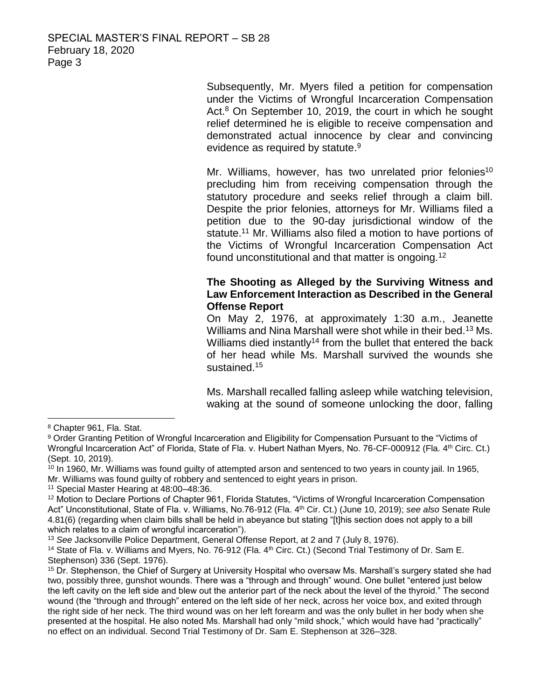Subsequently, Mr. Myers filed a petition for compensation under the Victims of Wrongful Incarceration Compensation Act.<sup>8</sup> On September 10, 2019, the court in which he sought relief determined he is eligible to receive compensation and demonstrated actual innocence by clear and convincing evidence as required by statute.<sup>9</sup>

Mr. Williams, however, has two unrelated prior felonies<sup>10</sup> precluding him from receiving compensation through the statutory procedure and seeks relief through a claim bill. Despite the prior felonies, attorneys for Mr. Williams filed a petition due to the 90-day jurisdictional window of the statute.<sup>11</sup> Mr. Williams also filed a motion to have portions of the Victims of Wrongful Incarceration Compensation Act found unconstitutional and that matter is ongoing.<sup>12</sup>

## **The Shooting as Alleged by the Surviving Witness and Law Enforcement Interaction as Described in the General Offense Report**

On May 2, 1976, at approximately 1:30 a.m., Jeanette Williams and Nina Marshall were shot while in their bed.<sup>13</sup> Ms. Williams died instantly<sup>14</sup> from the bullet that entered the back of her head while Ms. Marshall survived the wounds she sustained.<sup>15</sup>

Ms. Marshall recalled falling asleep while watching television, waking at the sound of someone unlocking the door, falling

<sup>8</sup> Chapter 961, Fla. Stat.

<sup>9</sup> Order Granting Petition of Wrongful Incarceration and Eligibility for Compensation Pursuant to the "Victims of Wrongful Incarceration Act" of Florida, State of Fla. v. Hubert Nathan Myers, No. 76-CF-000912 (Fla. 4th Circ. Ct.) (Sept. 10, 2019).

 $10$  In 1960, Mr. Williams was found guilty of attempted arson and sentenced to two years in county jail. In 1965, Mr. Williams was found guilty of robbery and sentenced to eight years in prison.

<sup>11</sup> Special Master Hearing at 48:00–48:36.

<sup>12</sup> Motion to Declare Portions of Chapter 961, Florida Statutes, "Victims of Wrongful Incarceration Compensation Act" Unconstitutional, State of Fla. v. Williams, No.76-912 (Fla. 4th Cir. Ct.) (June 10, 2019); *see also* Senate Rule 4.81(6) (regarding when claim bills shall be held in abeyance but stating "[t]his section does not apply to a bill which relates to a claim of wrongful incarceration").

<sup>13</sup> *See* Jacksonville Police Department, General Offense Report, at 2 and 7 (July 8, 1976).

<sup>&</sup>lt;sup>14</sup> State of Fla. v. Williams and Myers, No. 76-912 (Fla. 4<sup>th</sup> Circ. Ct.) (Second Trial Testimony of Dr. Sam E. Stephenson) 336 (Sept. 1976).

<sup>15</sup> Dr. Stephenson, the Chief of Surgery at University Hospital who oversaw Ms. Marshall's surgery stated she had two, possibly three, gunshot wounds. There was a "through and through" wound. One bullet "entered just below the left cavity on the left side and blew out the anterior part of the neck about the level of the thyroid." The second wound (the "through and through" entered on the left side of her neck, across her voice box, and exited through the right side of her neck. The third wound was on her left forearm and was the only bullet in her body when she presented at the hospital. He also noted Ms. Marshall had only "mild shock," which would have had "practically" no effect on an individual. Second Trial Testimony of Dr. Sam E. Stephenson at 326–328.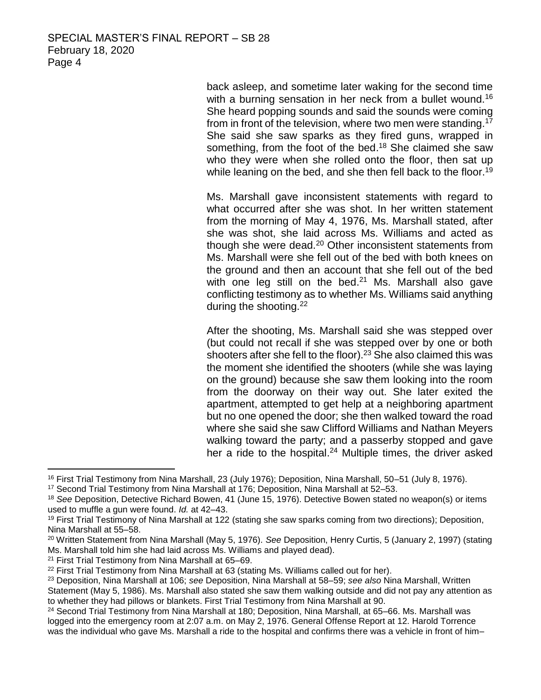back asleep, and sometime later waking for the second time with a burning sensation in her neck from a bullet wound.<sup>16</sup> She heard popping sounds and said the sounds were coming from in front of the television, where two men were standing.<sup>17</sup> She said she saw sparks as they fired guns, wrapped in something, from the foot of the bed.<sup>18</sup> She claimed she saw who they were when she rolled onto the floor, then sat up while leaning on the bed, and she then fell back to the floor.<sup>19</sup>

Ms. Marshall gave inconsistent statements with regard to what occurred after she was shot. In her written statement from the morning of May 4, 1976, Ms. Marshall stated, after she was shot, she laid across Ms. Williams and acted as though she were dead.<sup>20</sup> Other inconsistent statements from Ms. Marshall were she fell out of the bed with both knees on the ground and then an account that she fell out of the bed with one leg still on the bed. $21$  Ms. Marshall also gave conflicting testimony as to whether Ms. Williams said anything during the shooting.<sup>22</sup>

After the shooting, Ms. Marshall said she was stepped over (but could not recall if she was stepped over by one or both shooters after she fell to the floor).<sup>23</sup> She also claimed this was the moment she identified the shooters (while she was laying on the ground) because she saw them looking into the room from the doorway on their way out. She later exited the apartment, attempted to get help at a neighboring apartment but no one opened the door; she then walked toward the road where she said she saw Clifford Williams and Nathan Meyers walking toward the party; and a passerby stopped and gave her a ride to the hospital.<sup>24</sup> Multiple times, the driver asked

<sup>16</sup> First Trial Testimony from Nina Marshall, 23 (July 1976); Deposition, Nina Marshall, 50–51 (July 8, 1976).

<sup>17</sup> Second Trial Testimony from Nina Marshall at 176; Deposition, Nina Marshall at 52–53.

<sup>18</sup> *See* Deposition, Detective Richard Bowen, 41 (June 15, 1976). Detective Bowen stated no weapon(s) or items used to muffle a gun were found. *Id.* at 42–43.

<sup>&</sup>lt;sup>19</sup> First Trial Testimony of Nina Marshall at 122 (stating she saw sparks coming from two directions); Deposition, Nina Marshall at 55–58.

<sup>20</sup> Written Statement from Nina Marshall (May 5, 1976). *See* Deposition, Henry Curtis, 5 (January 2, 1997) (stating Ms. Marshall told him she had laid across Ms. Williams and played dead).

<sup>21</sup> First Trial Testimony from Nina Marshall at 65–69.

 $22$  First Trial Testimony from Nina Marshall at 63 (stating Ms. Williams called out for her).

<sup>23</sup> Deposition, Nina Marshall at 106; *see* Deposition, Nina Marshall at 58–59; *see also* Nina Marshall, Written Statement (May 5, 1986). Ms. Marshall also stated she saw them walking outside and did not pay any attention as to whether they had pillows or blankets. First Trial Testimony from Nina Marshall at 90.

<sup>24</sup> Second Trial Testimony from Nina Marshall at 180; Deposition, Nina Marshall, at 65–66. Ms. Marshall was logged into the emergency room at 2:07 a.m. on May 2, 1976. General Offense Report at 12. Harold Torrence was the individual who gave Ms. Marshall a ride to the hospital and confirms there was a vehicle in front of him-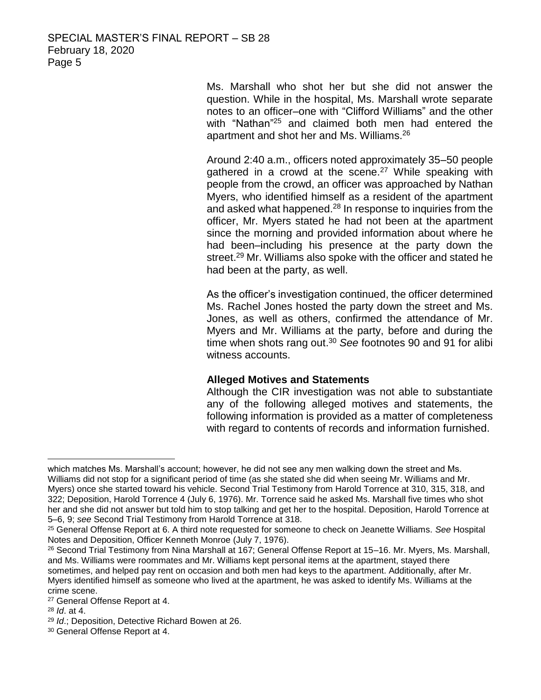Ms. Marshall who shot her but she did not answer the question. While in the hospital, Ms. Marshall wrote separate notes to an officer–one with "Clifford Williams" and the other with "Nathan"<sup>25</sup> and claimed both men had entered the apartment and shot her and Ms. Williams. 26

Around 2:40 a.m., officers noted approximately 35–50 people gathered in a crowd at the scene.<sup>27</sup> While speaking with people from the crowd, an officer was approached by Nathan Myers, who identified himself as a resident of the apartment and asked what happened.<sup>28</sup> In response to inquiries from the officer, Mr. Myers stated he had not been at the apartment since the morning and provided information about where he had been–including his presence at the party down the street. <sup>29</sup> Mr. Williams also spoke with the officer and stated he had been at the party, as well.

As the officer's investigation continued, the officer determined Ms. Rachel Jones hosted the party down the street and Ms. Jones, as well as others, confirmed the attendance of Mr. Myers and Mr. Williams at the party, before and during the time when shots rang out. <sup>30</sup> *See* footnotes 90 and 91 for alibi witness accounts.

## **Alleged Motives and Statements**

Although the CIR investigation was not able to substantiate any of the following alleged motives and statements, the following information is provided as a matter of completeness with regard to contents of records and information furnished.

 $\overline{a}$ which matches Ms. Marshall's account; however, he did not see any men walking down the street and Ms. Williams did not stop for a significant period of time (as she stated she did when seeing Mr. Williams and Mr. Myers) once she started toward his vehicle. Second Trial Testimony from Harold Torrence at 310, 315, 318, and 322; Deposition, Harold Torrence 4 (July 6, 1976). Mr. Torrence said he asked Ms. Marshall five times who shot her and she did not answer but told him to stop talking and get her to the hospital. Deposition, Harold Torrence at 5–6, 9; *see* Second Trial Testimony from Harold Torrence at 318.

<sup>25</sup> General Offense Report at 6. A third note requested for someone to check on Jeanette Williams. *See* Hospital Notes and Deposition, Officer Kenneth Monroe (July 7, 1976).

<sup>26</sup> Second Trial Testimony from Nina Marshall at 167; General Offense Report at 15–16. Mr. Myers, Ms. Marshall, and Ms. Williams were roommates and Mr. Williams kept personal items at the apartment, stayed there sometimes, and helped pay rent on occasion and both men had keys to the apartment. Additionally, after Mr. Myers identified himself as someone who lived at the apartment, he was asked to identify Ms. Williams at the crime scene.

<sup>27</sup> General Offense Report at 4.

<sup>28</sup> *Id*. at 4.

<sup>29</sup> *Id*.; Deposition, Detective Richard Bowen at 26.

<sup>30</sup> General Offense Report at 4.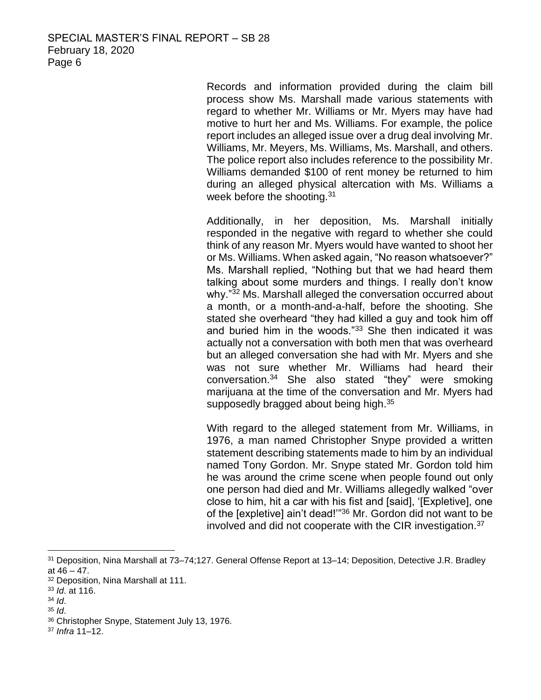Records and information provided during the claim bill process show Ms. Marshall made various statements with regard to whether Mr. Williams or Mr. Myers may have had motive to hurt her and Ms. Williams. For example, the police report includes an alleged issue over a drug deal involving Mr. Williams, Mr. Meyers, Ms. Williams, Ms. Marshall, and others. The police report also includes reference to the possibility Mr. Williams demanded \$100 of rent money be returned to him during an alleged physical altercation with Ms. Williams a week before the shooting.<sup>31</sup>

Additionally, in her deposition, Ms. Marshall initially responded in the negative with regard to whether she could think of any reason Mr. Myers would have wanted to shoot her or Ms. Williams. When asked again, "No reason whatsoever?" Ms. Marshall replied, "Nothing but that we had heard them talking about some murders and things. I really don't know why."<sup>32</sup> Ms. Marshall alleged the conversation occurred about a month, or a month-and-a-half, before the shooting. She stated she overheard "they had killed a guy and took him off and buried him in the woods."<sup>33</sup> She then indicated it was actually not a conversation with both men that was overheard but an alleged conversation she had with Mr. Myers and she was not sure whether Mr. Williams had heard their conversation.<sup>34</sup> She also stated "they" were smoking marijuana at the time of the conversation and Mr. Myers had supposedly bragged about being high.<sup>35</sup>

With regard to the alleged statement from Mr. Williams, in 1976, a man named Christopher Snype provided a written statement describing statements made to him by an individual named Tony Gordon. Mr. Snype stated Mr. Gordon told him he was around the crime scene when people found out only one person had died and Mr. Williams allegedly walked "over close to him, hit a car with his fist and [said], '[Expletive], one of the [expletive] ain't dead!'"<sup>36</sup> Mr. Gordon did not want to be involved and did not cooperate with the CIR investigation.<sup>37</sup>

<sup>31</sup> Deposition, Nina Marshall at 73–74;127. General Offense Report at 13–14; Deposition, Detective J.R. Bradley at  $46 - 47$ .

<sup>32</sup> Deposition, Nina Marshall at 111.

<sup>33</sup> *Id*. at 116.

<sup>34</sup> *Id*.

<sup>35</sup> *Id*.

<sup>36</sup> Christopher Snype, Statement July 13, 1976.

<sup>37</sup> *Infra* 11–12.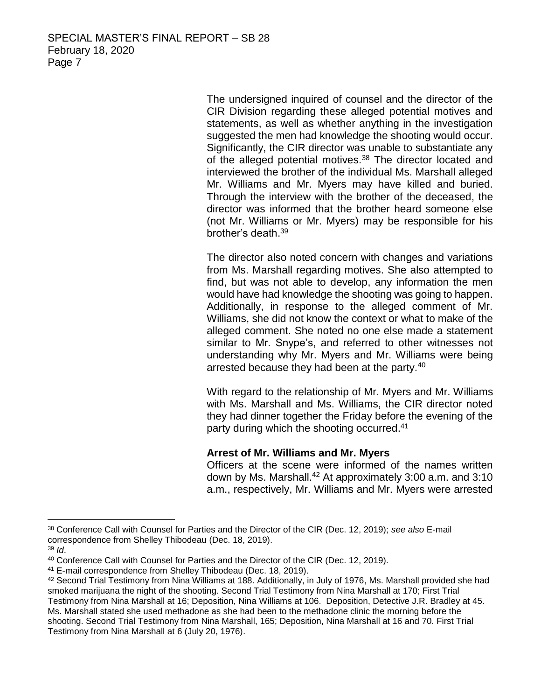The undersigned inquired of counsel and the director of the CIR Division regarding these alleged potential motives and statements, as well as whether anything in the investigation suggested the men had knowledge the shooting would occur. Significantly, the CIR director was unable to substantiate any of the alleged potential motives.<sup>38</sup> The director located and interviewed the brother of the individual Ms. Marshall alleged Mr. Williams and Mr. Myers may have killed and buried. Through the interview with the brother of the deceased, the director was informed that the brother heard someone else (not Mr. Williams or Mr. Myers) may be responsible for his brother's death. 39

The director also noted concern with changes and variations from Ms. Marshall regarding motives. She also attempted to find, but was not able to develop, any information the men would have had knowledge the shooting was going to happen. Additionally, in response to the alleged comment of Mr. Williams, she did not know the context or what to make of the alleged comment. She noted no one else made a statement similar to Mr. Snype's, and referred to other witnesses not understanding why Mr. Myers and Mr. Williams were being arrested because they had been at the party.<sup>40</sup>

With regard to the relationship of Mr. Myers and Mr. Williams with Ms. Marshall and Ms. Williams, the CIR director noted they had dinner together the Friday before the evening of the party during which the shooting occurred.<sup>41</sup>

#### **Arrest of Mr. Williams and Mr. Myers**

Officers at the scene were informed of the names written down by Ms. Marshall.<sup>42</sup> At approximately 3:00 a.m. and 3:10 a.m., respectively, Mr. Williams and Mr. Myers were arrested

<sup>38</sup> Conference Call with Counsel for Parties and the Director of the CIR (Dec. 12, 2019); *see also* E-mail correspondence from Shelley Thibodeau (Dec. 18, 2019).

<sup>39</sup> *Id*.

<sup>40</sup> Conference Call with Counsel for Parties and the Director of the CIR (Dec. 12, 2019).

<sup>41</sup> E-mail correspondence from Shelley Thibodeau (Dec. 18, 2019).

<sup>42</sup> Second Trial Testimony from Nina Williams at 188. Additionally, in July of 1976, Ms. Marshall provided she had smoked marijuana the night of the shooting. Second Trial Testimony from Nina Marshall at 170; First Trial Testimony from Nina Marshall at 16; Deposition, Nina Williams at 106. Deposition, Detective J.R. Bradley at 45. Ms. Marshall stated she used methadone as she had been to the methadone clinic the morning before the shooting. Second Trial Testimony from Nina Marshall, 165; Deposition, Nina Marshall at 16 and 70. First Trial Testimony from Nina Marshall at 6 (July 20, 1976).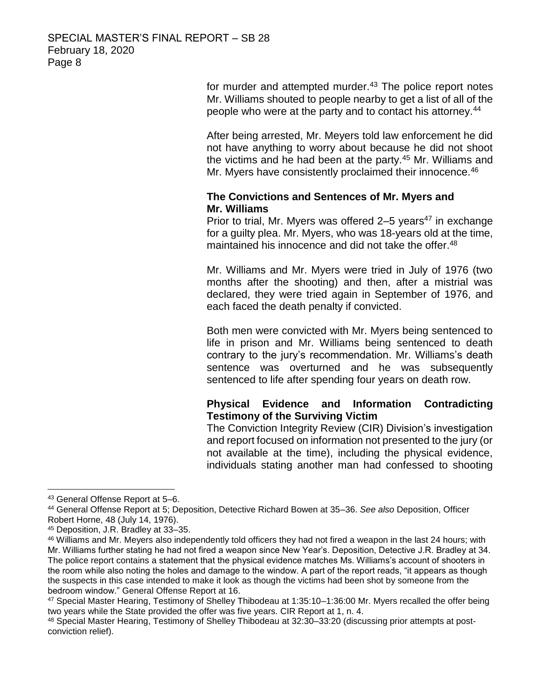for murder and attempted murder.<sup>43</sup> The police report notes Mr. Williams shouted to people nearby to get a list of all of the people who were at the party and to contact his attorney.<sup>44</sup>

After being arrested, Mr. Meyers told law enforcement he did not have anything to worry about because he did not shoot the victims and he had been at the party.<sup>45</sup> Mr. Williams and Mr. Myers have consistently proclaimed their innocence.<sup>46</sup>

# **The Convictions and Sentences of Mr. Myers and Mr. Williams**

Prior to trial, Mr. Myers was offered  $2-5$  years<sup>47</sup> in exchange for a guilty plea. Mr. Myers, who was 18-years old at the time, maintained his innocence and did not take the offer. 48

Mr. Williams and Mr. Myers were tried in July of 1976 (two months after the shooting) and then, after a mistrial was declared, they were tried again in September of 1976, and each faced the death penalty if convicted.

Both men were convicted with Mr. Myers being sentenced to life in prison and Mr. Williams being sentenced to death contrary to the jury's recommendation. Mr. Williams's death sentence was overturned and he was subsequently sentenced to life after spending four years on death row.

# **Physical Evidence and Information Contradicting Testimony of the Surviving Victim**

The Conviction Integrity Review (CIR) Division's investigation and report focused on information not presented to the jury (or not available at the time), including the physical evidence, individuals stating another man had confessed to shooting

<sup>43</sup> General Offense Report at 5–6.

<sup>44</sup> General Offense Report at 5; Deposition, Detective Richard Bowen at 35–36. *See also* Deposition, Officer Robert Horne, 48 (July 14, 1976).

<sup>45</sup> Deposition, J.R. Bradley at 33–35.

<sup>46</sup> Williams and Mr. Meyers also independently told officers they had not fired a weapon in the last 24 hours; with Mr. Williams further stating he had not fired a weapon since New Year's. Deposition, Detective J.R. Bradley at 34. The police report contains a statement that the physical evidence matches Ms. Williams's account of shooters in the room while also noting the holes and damage to the window. A part of the report reads, "it appears as though the suspects in this case intended to make it look as though the victims had been shot by someone from the bedroom window." General Offense Report at 16.

<sup>47</sup> Special Master Hearing, Testimony of Shelley Thibodeau at 1:35:10–1:36:00 Mr. Myers recalled the offer being two years while the State provided the offer was five years. CIR Report at 1, n. 4.

<sup>48</sup> Special Master Hearing, Testimony of Shelley Thibodeau at 32:30–33:20 (discussing prior attempts at postconviction relief).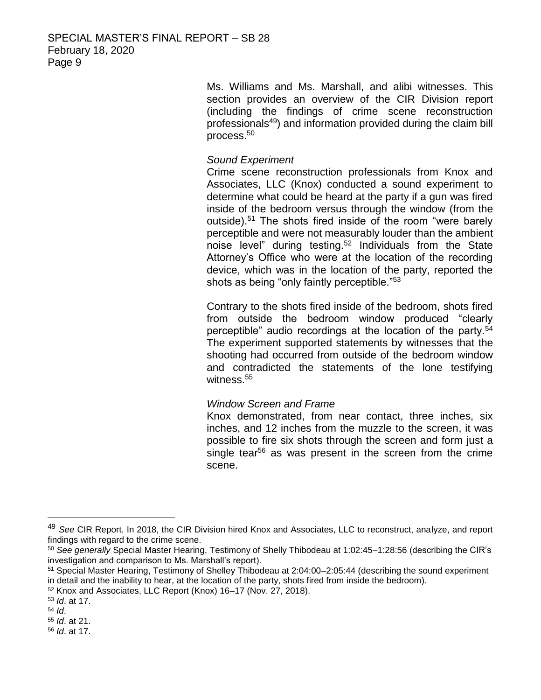Ms. Williams and Ms. Marshall, and alibi witnesses. This section provides an overview of the CIR Division report (including the findings of crime scene reconstruction professionals<sup>49</sup>) and information provided during the claim bill process.<sup>50</sup>

# *Sound Experiment*

Crime scene reconstruction professionals from Knox and Associates, LLC (Knox) conducted a sound experiment to determine what could be heard at the party if a gun was fired inside of the bedroom versus through the window (from the outside).<sup>51</sup> The shots fired inside of the room "were barely perceptible and were not measurably louder than the ambient noise level" during testing.<sup>52</sup> Individuals from the State Attorney's Office who were at the location of the recording device, which was in the location of the party, reported the shots as being "only faintly perceptible."<sup>53</sup>

Contrary to the shots fired inside of the bedroom, shots fired from outside the bedroom window produced "clearly perceptible" audio recordings at the location of the party.<sup>54</sup> The experiment supported statements by witnesses that the shooting had occurred from outside of the bedroom window and contradicted the statements of the lone testifying witness. 55

## *Window Screen and Frame*

Knox demonstrated, from near contact, three inches, six inches, and 12 inches from the muzzle to the screen, it was possible to fire six shots through the screen and form just a single tear<sup>56</sup> as was present in the screen from the crime scene.

<sup>49</sup> *See* CIR Report. In 2018, the CIR Division hired Knox and Associates, LLC to reconstruct, analyze, and report findings with regard to the crime scene.

<sup>50</sup> *See generally* Special Master Hearing, Testimony of Shelly Thibodeau at 1:02:45–1:28:56 (describing the CIR's investigation and comparison to Ms. Marshall's report).

<sup>51</sup> Special Master Hearing, Testimony of Shelley Thibodeau at 2:04:00–2:05:44 (describing the sound experiment in detail and the inability to hear, at the location of the party, shots fired from inside the bedroom).

<sup>52</sup> Knox and Associates, LLC Report (Knox) 16–17 (Nov. 27, 2018).

<sup>53</sup> *Id*. at 17.

<sup>54</sup> *Id*.

<sup>55</sup> *Id*. at 21.

<sup>56</sup> *Id*. at 17.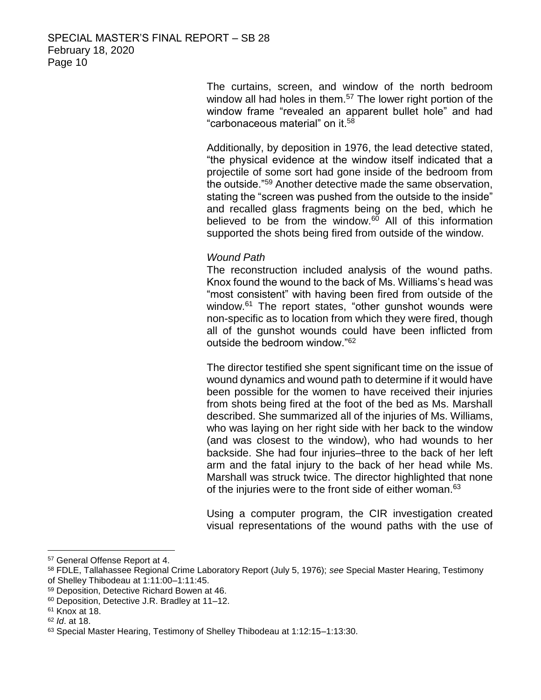The curtains, screen, and window of the north bedroom window all had holes in them.<sup>57</sup> The lower right portion of the window frame "revealed an apparent bullet hole" and had "carbonaceous material" on it.<sup>58</sup>

Additionally, by deposition in 1976, the lead detective stated, "the physical evidence at the window itself indicated that a projectile of some sort had gone inside of the bedroom from the outside."<sup>59</sup> Another detective made the same observation, stating the "screen was pushed from the outside to the inside" and recalled glass fragments being on the bed, which he believed to be from the window.<sup>60</sup> All of this information supported the shots being fired from outside of the window.

## *Wound Path*

The reconstruction included analysis of the wound paths. Knox found the wound to the back of Ms. Williams's head was "most consistent" with having been fired from outside of the window.<sup>61</sup> The report states, "other gunshot wounds were non-specific as to location from which they were fired, though all of the gunshot wounds could have been inflicted from outside the bedroom window."<sup>62</sup>

The director testified she spent significant time on the issue of wound dynamics and wound path to determine if it would have been possible for the women to have received their injuries from shots being fired at the foot of the bed as Ms. Marshall described. She summarized all of the injuries of Ms. Williams, who was laying on her right side with her back to the window (and was closest to the window), who had wounds to her backside. She had four injuries–three to the back of her left arm and the fatal injury to the back of her head while Ms. Marshall was struck twice. The director highlighted that none of the injuries were to the front side of either woman.<sup>63</sup>

Using a computer program, the CIR investigation created visual representations of the wound paths with the use of

<sup>57</sup> General Offense Report at 4.

<sup>58</sup> FDLE, Tallahassee Regional Crime Laboratory Report (July 5, 1976); *see* Special Master Hearing, Testimony of Shelley Thibodeau at 1:11:00–1:11:45.

<sup>59</sup> Deposition, Detective Richard Bowen at 46.

<sup>60</sup> Deposition, Detective J.R. Bradley at 11–12.

<sup>61</sup> Knox at 18.

<sup>62</sup> *Id*. at 18.

<sup>63</sup> Special Master Hearing, Testimony of Shelley Thibodeau at 1:12:15–1:13:30.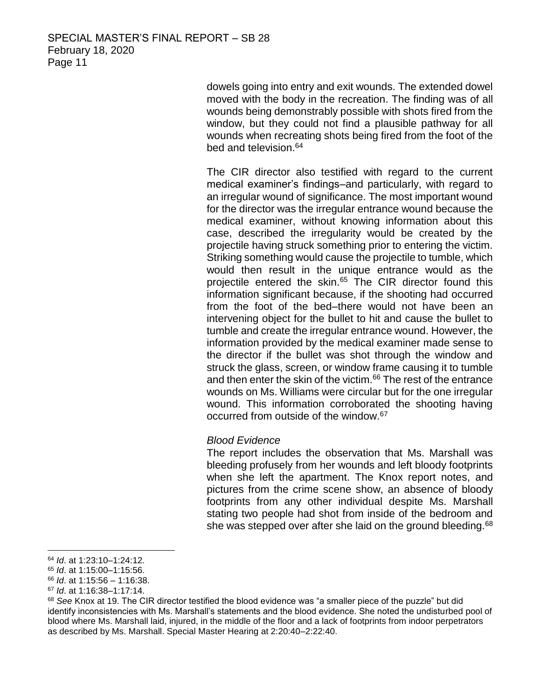dowels going into entry and exit wounds. The extended dowel moved with the body in the recreation. The finding was of all wounds being demonstrably possible with shots fired from the window, but they could not find a plausible pathway for all wounds when recreating shots being fired from the foot of the bed and television. 64

The CIR director also testified with regard to the current medical examiner's findings–and particularly, with regard to an irregular wound of significance. The most important wound for the director was the irregular entrance wound because the medical examiner, without knowing information about this case, described the irregularity would be created by the projectile having struck something prior to entering the victim. Striking something would cause the projectile to tumble, which would then result in the unique entrance would as the projectile entered the skin.<sup>65</sup> The CIR director found this information significant because, if the shooting had occurred from the foot of the bed–there would not have been an intervening object for the bullet to hit and cause the bullet to tumble and create the irregular entrance wound. However, the information provided by the medical examiner made sense to the director if the bullet was shot through the window and struck the glass, screen, or window frame causing it to tumble and then enter the skin of the victim.<sup>66</sup> The rest of the entrance wounds on Ms. Williams were circular but for the one irregular wound. This information corroborated the shooting having occurred from outside of the window.<sup>67</sup>

#### *Blood Evidence*

The report includes the observation that Ms. Marshall was bleeding profusely from her wounds and left bloody footprints when she left the apartment. The Knox report notes, and pictures from the crime scene show, an absence of bloody footprints from any other individual despite Ms. Marshall stating two people had shot from inside of the bedroom and she was stepped over after she laid on the ground bleeding.<sup>68</sup>

 $\overline{a}$ <sup>64</sup> *Id*. at 1:23:10–1:24:12.

<sup>65</sup> *Id*. at 1:15:00–1:15:56.

<sup>66</sup> *Id*. at 1:15:56 – 1:16:38.

<sup>67</sup> *Id*. at 1:16:38–1:17:14.

<sup>68</sup> *See* Knox at 19. The CIR director testified the blood evidence was "a smaller piece of the puzzle" but did identify inconsistencies with Ms. Marshall's statements and the blood evidence. She noted the undisturbed pool of blood where Ms. Marshall laid, injured, in the middle of the floor and a lack of footprints from indoor perpetrators as described by Ms. Marshall. Special Master Hearing at 2:20:40–2:22:40.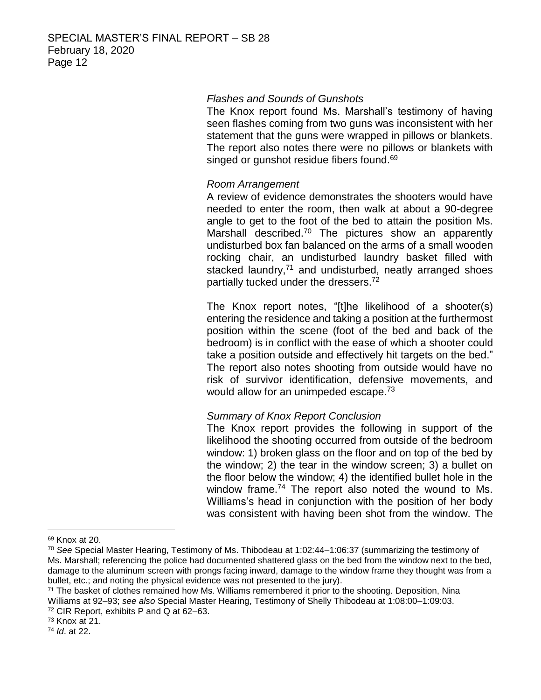## *Flashes and Sounds of Gunshots*

The Knox report found Ms. Marshall's testimony of having seen flashes coming from two guns was inconsistent with her statement that the guns were wrapped in pillows or blankets. The report also notes there were no pillows or blankets with singed or gunshot residue fibers found.<sup>69</sup>

## *Room Arrangement*

A review of evidence demonstrates the shooters would have needed to enter the room, then walk at about a 90-degree angle to get to the foot of the bed to attain the position Ms. Marshall described.<sup>70</sup> The pictures show an apparently undisturbed box fan balanced on the arms of a small wooden rocking chair, an undisturbed laundry basket filled with stacked laundry,<sup>71</sup> and undisturbed, neatly arranged shoes partially tucked under the dressers.<sup>72</sup>

The Knox report notes, "[t]he likelihood of a shooter(s) entering the residence and taking a position at the furthermost position within the scene (foot of the bed and back of the bedroom) is in conflict with the ease of which a shooter could take a position outside and effectively hit targets on the bed." The report also notes shooting from outside would have no risk of survivor identification, defensive movements, and would allow for an unimpeded escape.<sup>73</sup>

#### *Summary of Knox Report Conclusion*

The Knox report provides the following in support of the likelihood the shooting occurred from outside of the bedroom window: 1) broken glass on the floor and on top of the bed by the window; 2) the tear in the window screen; 3) a bullet on the floor below the window; 4) the identified bullet hole in the window frame.<sup>74</sup> The report also noted the wound to Ms. Williams's head in conjunction with the position of her body was consistent with having been shot from the window. The

<sup>69</sup> Knox at 20.

<sup>70</sup> *See* Special Master Hearing, Testimony of Ms. Thibodeau at 1:02:44–1:06:37 (summarizing the testimony of Ms. Marshall; referencing the police had documented shattered glass on the bed from the window next to the bed, damage to the aluminum screen with prongs facing inward, damage to the window frame they thought was from a bullet, etc.; and noting the physical evidence was not presented to the jury).

<sup>&</sup>lt;sup>71</sup> The basket of clothes remained how Ms. Williams remembered it prior to the shooting. Deposition, Nina Williams at 92–93; *see also* Special Master Hearing, Testimony of Shelly Thibodeau at 1:08:00–1:09:03. <sup>72</sup> CIR Report, exhibits P and Q at 62–63.

<sup>73</sup> Knox at 21.

<sup>74</sup> *Id*. at 22.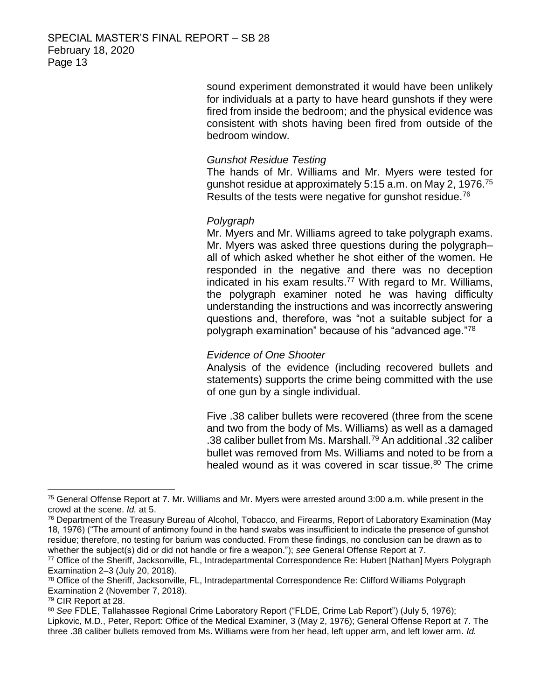sound experiment demonstrated it would have been unlikely for individuals at a party to have heard gunshots if they were fired from inside the bedroom; and the physical evidence was consistent with shots having been fired from outside of the bedroom window.

# *Gunshot Residue Testing*

The hands of Mr. Williams and Mr. Myers were tested for gunshot residue at approximately 5:15 a.m. on May 2, 1976.<sup>75</sup> Results of the tests were negative for gunshot residue.<sup>76</sup>

## *Polygraph*

Mr. Myers and Mr. Williams agreed to take polygraph exams. Mr. Myers was asked three questions during the polygraph– all of which asked whether he shot either of the women. He responded in the negative and there was no deception indicated in his exam results.<sup>77</sup> With regard to Mr. Williams, the polygraph examiner noted he was having difficulty understanding the instructions and was incorrectly answering questions and, therefore, was "not a suitable subject for a polygraph examination" because of his "advanced age."<sup>78</sup>

## *Evidence of One Shooter*

Analysis of the evidence (including recovered bullets and statements) supports the crime being committed with the use of one gun by a single individual.

Five .38 caliber bullets were recovered (three from the scene and two from the body of Ms. Williams) as well as a damaged .38 caliber bullet from Ms. Marshall.<sup>79</sup> An additional .32 caliber bullet was removed from Ms. Williams and noted to be from a healed wound as it was covered in scar tissue.<sup>80</sup> The crime

<sup>75</sup> General Offense Report at 7. Mr. Williams and Mr. Myers were arrested around 3:00 a.m. while present in the crowd at the scene. *Id.* at 5.

<sup>76</sup> Department of the Treasury Bureau of Alcohol, Tobacco, and Firearms, Report of Laboratory Examination (May 18, 1976) ("The amount of antimony found in the hand swabs was insufficient to indicate the presence of gunshot residue; therefore, no testing for barium was conducted. From these findings, no conclusion can be drawn as to whether the subject(s) did or did not handle or fire a weapon."); *see* General Offense Report at 7.

<sup>77</sup> Office of the Sheriff, Jacksonville, FL, Intradepartmental Correspondence Re: Hubert [Nathan] Myers Polygraph Examination 2–3 (July 20, 2018).

<sup>78</sup> Office of the Sheriff, Jacksonville, FL, Intradepartmental Correspondence Re: Clifford Williams Polygraph Examination 2 (November 7, 2018).

<sup>79</sup> CIR Report at 28.

<sup>80</sup> *See* FDLE, Tallahassee Regional Crime Laboratory Report ("FLDE, Crime Lab Report") (July 5, 1976); Lipkovic, M.D., Peter, Report: Office of the Medical Examiner, 3 (May 2, 1976); General Offense Report at 7. The three .38 caliber bullets removed from Ms. Williams were from her head, left upper arm, and left lower arm. *Id.*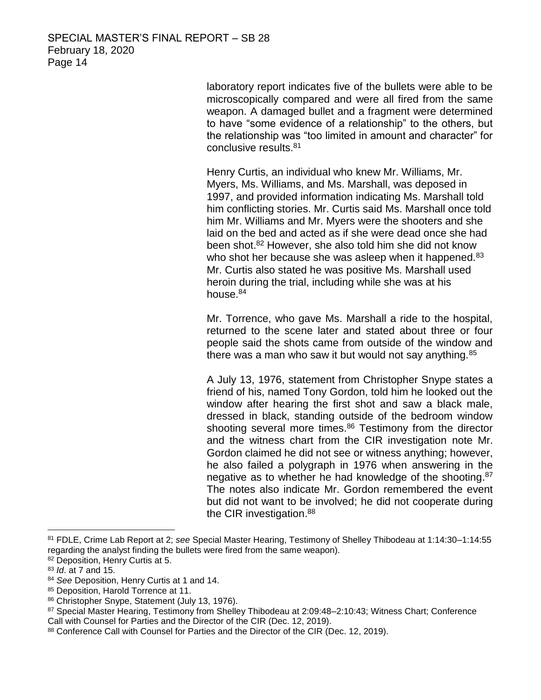laboratory report indicates five of the bullets were able to be microscopically compared and were all fired from the same weapon. A damaged bullet and a fragment were determined to have "some evidence of a relationship" to the others, but the relationship was "too limited in amount and character" for conclusive results.<sup>81</sup>

Henry Curtis, an individual who knew Mr. Williams, Mr. Myers, Ms. Williams, and Ms. Marshall, was deposed in 1997, and provided information indicating Ms. Marshall told him conflicting stories. Mr. Curtis said Ms. Marshall once told him Mr. Williams and Mr. Myers were the shooters and she laid on the bed and acted as if she were dead once she had been shot. <sup>82</sup> However, she also told him she did not know who shot her because she was asleep when it happened.<sup>83</sup> Mr. Curtis also stated he was positive Ms. Marshall used heroin during the trial, including while she was at his house.<sup>84</sup>

Mr. Torrence, who gave Ms. Marshall a ride to the hospital, returned to the scene later and stated about three or four people said the shots came from outside of the window and there was a man who saw it but would not say anything.<sup>85</sup>

A July 13, 1976, statement from Christopher Snype states a friend of his, named Tony Gordon, told him he looked out the window after hearing the first shot and saw a black male, dressed in black, standing outside of the bedroom window shooting several more times. $86$  Testimony from the director and the witness chart from the CIR investigation note Mr. Gordon claimed he did not see or witness anything; however, he also failed a polygraph in 1976 when answering in the negative as to whether he had knowledge of the shooting.<sup>87</sup> The notes also indicate Mr. Gordon remembered the event but did not want to be involved; he did not cooperate during the CIR investigation.<sup>88</sup>

<sup>81</sup> FDLE, Crime Lab Report at 2; *see* Special Master Hearing, Testimony of Shelley Thibodeau at 1:14:30–1:14:55 regarding the analyst finding the bullets were fired from the same weapon).

<sup>82</sup> Deposition, Henry Curtis at 5.

<sup>83</sup> *Id*. at 7 and 15.

<sup>84</sup> *See* Deposition, Henry Curtis at 1 and 14.

<sup>85</sup> Deposition, Harold Torrence at 11.

<sup>86</sup> Christopher Snype, Statement (July 13, 1976).

<sup>87</sup> Special Master Hearing, Testimony from Shelley Thibodeau at 2:09:48–2:10:43; Witness Chart; Conference Call with Counsel for Parties and the Director of the CIR (Dec. 12, 2019).

<sup>88</sup> Conference Call with Counsel for Parties and the Director of the CIR (Dec. 12, 2019).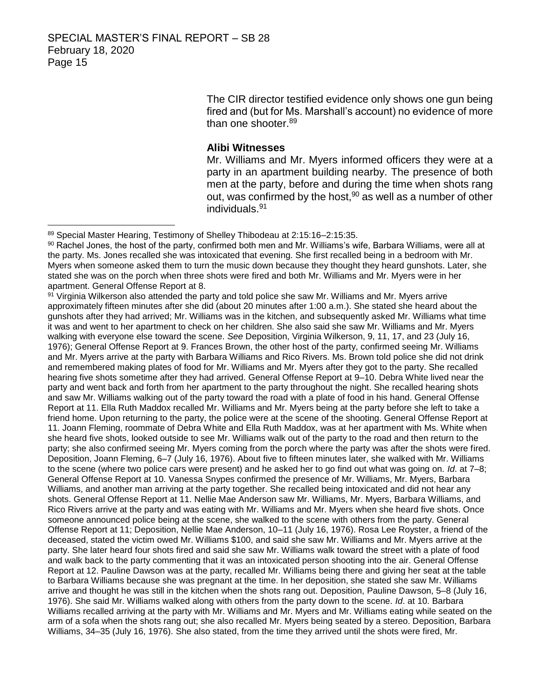$\overline{a}$ 

The CIR director testified evidence only shows one gun being fired and (but for Ms. Marshall's account) no evidence of more than one shooter.<sup>89</sup>

#### **Alibi Witnesses**

Mr. Williams and Mr. Myers informed officers they were at a party in an apartment building nearby. The presence of both men at the party, before and during the time when shots rang out, was confirmed by the host,<sup>90</sup> as well as a number of other individuals. 91

91 Virginia Wilkerson also attended the party and told police she saw Mr. Williams and Mr. Myers arrive approximately fifteen minutes after she did (about 20 minutes after 1:00 a.m.). She stated she heard about the gunshots after they had arrived; Mr. Williams was in the kitchen, and subsequently asked Mr. Williams what time it was and went to her apartment to check on her children. She also said she saw Mr. Williams and Mr. Myers walking with everyone else toward the scene. *See* Deposition, Virginia Wilkerson, 9, 11, 17, and 23 (July 16, 1976); General Offense Report at 9. Frances Brown, the other host of the party, confirmed seeing Mr. Williams and Mr. Myers arrive at the party with Barbara Williams and Rico Rivers. Ms. Brown told police she did not drink and remembered making plates of food for Mr. Williams and Mr. Myers after they got to the party. She recalled hearing five shots sometime after they had arrived. General Offense Report at 9–10. Debra White lived near the party and went back and forth from her apartment to the party throughout the night. She recalled hearing shots and saw Mr. Williams walking out of the party toward the road with a plate of food in his hand. General Offense Report at 11. Ella Ruth Maddox recalled Mr. Williams and Mr. Myers being at the party before she left to take a friend home. Upon returning to the party, the police were at the scene of the shooting. General Offense Report at 11. Joann Fleming, roommate of Debra White and Ella Ruth Maddox, was at her apartment with Ms. White when she heard five shots, looked outside to see Mr. Williams walk out of the party to the road and then return to the party; she also confirmed seeing Mr. Myers coming from the porch where the party was after the shots were fired. Deposition, Joann Fleming, 6–7 (July 16, 1976). About five to fifteen minutes later, she walked with Mr. Williams to the scene (where two police cars were present) and he asked her to go find out what was going on. *Id*. at 7–8; General Offense Report at 10. Vanessa Snypes confirmed the presence of Mr. Williams, Mr. Myers, Barbara Williams, and another man arriving at the party together. She recalled being intoxicated and did not hear any shots. General Offense Report at 11. Nellie Mae Anderson saw Mr. Williams, Mr. Myers, Barbara Williams, and Rico Rivers arrive at the party and was eating with Mr. Williams and Mr. Myers when she heard five shots. Once someone announced police being at the scene, she walked to the scene with others from the party. General Offense Report at 11; Deposition, Nellie Mae Anderson, 10–11 (July 16, 1976). Rosa Lee Royster, a friend of the deceased, stated the victim owed Mr. Williams \$100, and said she saw Mr. Williams and Mr. Myers arrive at the party. She later heard four shots fired and said she saw Mr. Williams walk toward the street with a plate of food and walk back to the party commenting that it was an intoxicated person shooting into the air. General Offense Report at 12. Pauline Dawson was at the party, recalled Mr. Williams being there and giving her seat at the table to Barbara Williams because she was pregnant at the time. In her deposition, she stated she saw Mr. Williams arrive and thought he was still in the kitchen when the shots rang out. Deposition, Pauline Dawson, 5–8 (July 16, 1976). She said Mr. Williams walked along with others from the party down to the scene. *Id*. at 10. Barbara Williams recalled arriving at the party with Mr. Williams and Mr. Myers and Mr. Williams eating while seated on the arm of a sofa when the shots rang out; she also recalled Mr. Myers being seated by a stereo. Deposition, Barbara Williams, 34–35 (July 16, 1976). She also stated, from the time they arrived until the shots were fired, Mr.

<sup>89</sup> Special Master Hearing, Testimony of Shelley Thibodeau at 2:15:16-2:15:35.

<sup>90</sup> Rachel Jones, the host of the party, confirmed both men and Mr. Williams's wife, Barbara Williams, were all at the party. Ms. Jones recalled she was intoxicated that evening. She first recalled being in a bedroom with Mr. Myers when someone asked them to turn the music down because they thought they heard gunshots. Later, she stated she was on the porch when three shots were fired and both Mr. Williams and Mr. Myers were in her apartment. General Offense Report at 8.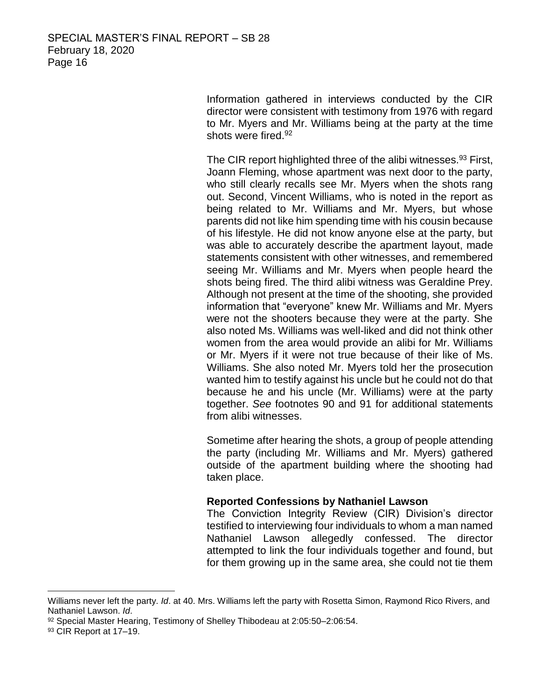Information gathered in interviews conducted by the CIR director were consistent with testimony from 1976 with regard to Mr. Myers and Mr. Williams being at the party at the time shots were fired. 92

The CIR report highlighted three of the alibi witnesses.<sup>93</sup> First, Joann Fleming, whose apartment was next door to the party, who still clearly recalls see Mr. Myers when the shots rang out. Second, Vincent Williams, who is noted in the report as being related to Mr. Williams and Mr. Myers, but whose parents did not like him spending time with his cousin because of his lifestyle. He did not know anyone else at the party, but was able to accurately describe the apartment layout, made statements consistent with other witnesses, and remembered seeing Mr. Williams and Mr. Myers when people heard the shots being fired. The third alibi witness was Geraldine Prey. Although not present at the time of the shooting, she provided information that "everyone" knew Mr. Williams and Mr. Myers were not the shooters because they were at the party. She also noted Ms. Williams was well-liked and did not think other women from the area would provide an alibi for Mr. Williams or Mr. Myers if it were not true because of their like of Ms. Williams. She also noted Mr. Myers told her the prosecution wanted him to testify against his uncle but he could not do that because he and his uncle (Mr. Williams) were at the party together. *See* footnotes 90 and 91 for additional statements from alibi witnesses.

Sometime after hearing the shots, a group of people attending the party (including Mr. Williams and Mr. Myers) gathered outside of the apartment building where the shooting had taken place.

## **Reported Confessions by Nathaniel Lawson**

The Conviction Integrity Review (CIR) Division's director testified to interviewing four individuals to whom a man named Nathaniel Lawson allegedly confessed. The director attempted to link the four individuals together and found, but for them growing up in the same area, she could not tie them

Williams never left the party. *Id*. at 40. Mrs. Williams left the party with Rosetta Simon, Raymond Rico Rivers, and Nathaniel Lawson. *Id*.

<sup>92</sup> Special Master Hearing, Testimony of Shelley Thibodeau at 2:05:50-2:06:54.

<sup>93</sup> CIR Report at 17-19.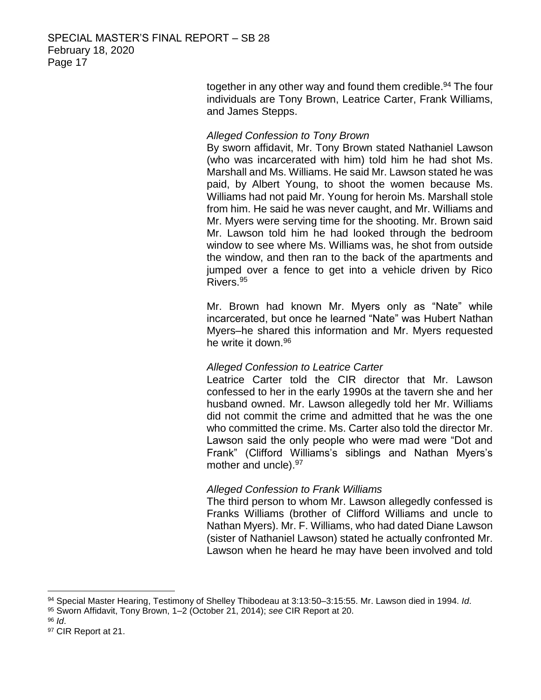together in any other way and found them credible.<sup>94</sup> The four individuals are Tony Brown, Leatrice Carter, Frank Williams, and James Stepps.

## *Alleged Confession to Tony Brown*

By sworn affidavit, Mr. Tony Brown stated Nathaniel Lawson (who was incarcerated with him) told him he had shot Ms. Marshall and Ms. Williams. He said Mr. Lawson stated he was paid, by Albert Young, to shoot the women because Ms. Williams had not paid Mr. Young for heroin Ms. Marshall stole from him. He said he was never caught, and Mr. Williams and Mr. Myers were serving time for the shooting. Mr. Brown said Mr. Lawson told him he had looked through the bedroom window to see where Ms. Williams was, he shot from outside the window, and then ran to the back of the apartments and jumped over a fence to get into a vehicle driven by Rico Rivers.<sup>95</sup>

Mr. Brown had known Mr. Myers only as "Nate" while incarcerated, but once he learned "Nate" was Hubert Nathan Myers–he shared this information and Mr. Myers requested he write it down.<sup>96</sup>

## *Alleged Confession to Leatrice Carter*

Leatrice Carter told the CIR director that Mr. Lawson confessed to her in the early 1990s at the tavern she and her husband owned. Mr. Lawson allegedly told her Mr. Williams did not commit the crime and admitted that he was the one who committed the crime. Ms. Carter also told the director Mr. Lawson said the only people who were mad were "Dot and Frank" (Clifford Williams's siblings and Nathan Myers's mother and uncle).<sup>97</sup>

## *Alleged Confession to Frank Williams*

The third person to whom Mr. Lawson allegedly confessed is Franks Williams (brother of Clifford Williams and uncle to Nathan Myers). Mr. F. Williams, who had dated Diane Lawson (sister of Nathaniel Lawson) stated he actually confronted Mr. Lawson when he heard he may have been involved and told

<sup>96</sup> *Id*.

 $\overline{a}$ <sup>94</sup> Special Master Hearing, Testimony of Shelley Thibodeau at 3:13:50–3:15:55. Mr. Lawson died in 1994. *Id*.

<sup>95</sup> Sworn Affidavit, Tony Brown, 1–2 (October 21, 2014); *see* CIR Report at 20.

<sup>97</sup> CIR Report at 21.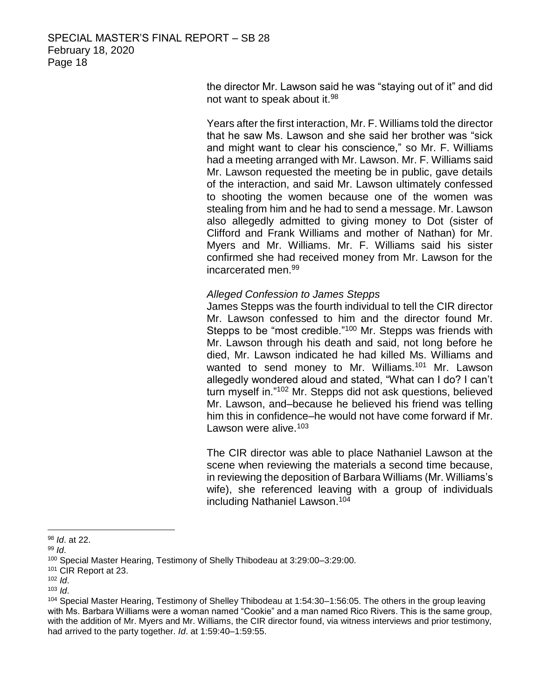SPECIAL MASTER'S FINAL REPORT – SB 28 February 18, 2020 Page 18

> the director Mr. Lawson said he was "staying out of it" and did not want to speak about it.<sup>98</sup>

> Years after the first interaction, Mr. F. Williams told the director that he saw Ms. Lawson and she said her brother was "sick and might want to clear his conscience," so Mr. F. Williams had a meeting arranged with Mr. Lawson. Mr. F. Williams said Mr. Lawson requested the meeting be in public, gave details of the interaction, and said Mr. Lawson ultimately confessed to shooting the women because one of the women was stealing from him and he had to send a message. Mr. Lawson also allegedly admitted to giving money to Dot (sister of Clifford and Frank Williams and mother of Nathan) for Mr. Myers and Mr. Williams. Mr. F. Williams said his sister confirmed she had received money from Mr. Lawson for the incarcerated men.<sup>99</sup>

## *Alleged Confession to James Stepps*

James Stepps was the fourth individual to tell the CIR director Mr. Lawson confessed to him and the director found Mr. Stepps to be "most credible."<sup>100</sup> Mr. Stepps was friends with Mr. Lawson through his death and said, not long before he died, Mr. Lawson indicated he had killed Ms. Williams and wanted to send money to Mr. Williams.<sup>101</sup> Mr. Lawson allegedly wondered aloud and stated, "What can I do? I can't turn myself in."<sup>102</sup> Mr. Stepps did not ask questions, believed Mr. Lawson, and–because he believed his friend was telling him this in confidence–he would not have come forward if Mr. Lawson were alive. $103$ 

The CIR director was able to place Nathaniel Lawson at the scene when reviewing the materials a second time because, in reviewing the deposition of Barbara Williams (Mr. Williams's wife), she referenced leaving with a group of individuals including Nathaniel Lawson. 104

<sup>98</sup> *Id*. at 22.

<sup>99</sup> *Id*.

<sup>100</sup> Special Master Hearing, Testimony of Shelly Thibodeau at 3:29:00–3:29:00.

<sup>101</sup> CIR Report at 23.

<sup>102</sup> *Id*.

<sup>103</sup> *Id*.

<sup>104</sup> Special Master Hearing, Testimony of Shelley Thibodeau at 1:54:30–1:56:05. The others in the group leaving with Ms. Barbara Williams were a woman named "Cookie" and a man named Rico Rivers. This is the same group, with the addition of Mr. Myers and Mr. Williams, the CIR director found, via witness interviews and prior testimony, had arrived to the party together. *Id*. at 1:59:40–1:59:55.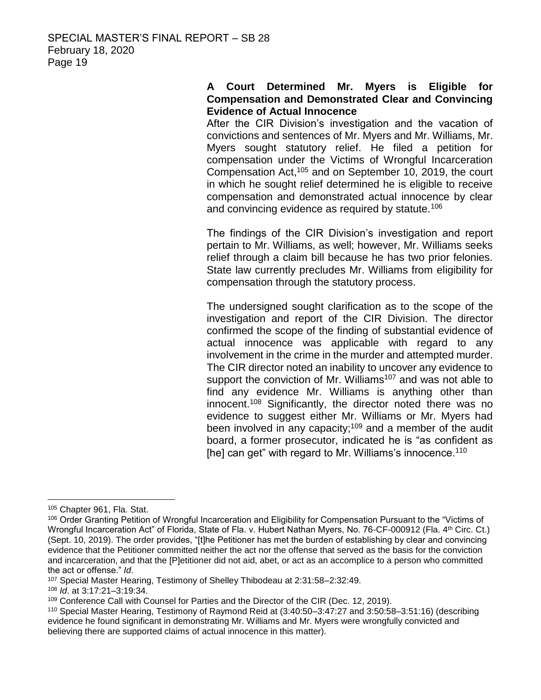## **A Court Determined Mr. Myers is Eligible for Compensation and Demonstrated Clear and Convincing Evidence of Actual Innocence**

After the CIR Division's investigation and the vacation of convictions and sentences of Mr. Myers and Mr. Williams, Mr. Myers sought statutory relief. He filed a petition for compensation under the Victims of Wrongful Incarceration Compensation Act, <sup>105</sup> and on September 10, 2019, the court in which he sought relief determined he is eligible to receive compensation and demonstrated actual innocence by clear and convincing evidence as required by statute.<sup>106</sup>

The findings of the CIR Division's investigation and report pertain to Mr. Williams, as well; however, Mr. Williams seeks relief through a claim bill because he has two prior felonies. State law currently precludes Mr. Williams from eligibility for compensation through the statutory process.

The undersigned sought clarification as to the scope of the investigation and report of the CIR Division. The director confirmed the scope of the finding of substantial evidence of actual innocence was applicable with regard to any involvement in the crime in the murder and attempted murder. The CIR director noted an inability to uncover any evidence to support the conviction of Mr. Williams<sup>107</sup> and was not able to find any evidence Mr. Williams is anything other than innocent.<sup>108</sup> Significantly, the director noted there was no evidence to suggest either Mr. Williams or Mr. Myers had been involved in any capacity;<sup>109</sup> and a member of the audit board, a former prosecutor, indicated he is "as confident as [he] can get" with regard to Mr. Williams's innocence.<sup>110</sup>

 $\overline{a}$ 

<sup>108</sup> *Id*. at 3:17:21–3:19:34.

<sup>105</sup> Chapter 961, Fla. Stat.

<sup>106</sup> Order Granting Petition of Wrongful Incarceration and Eligibility for Compensation Pursuant to the "Victims of Wrongful Incarceration Act" of Florida, State of Fla. v. Hubert Nathan Myers, No. 76-CF-000912 (Fla. 4th Circ. Ct.) (Sept. 10, 2019). The order provides, "[t]he Petitioner has met the burden of establishing by clear and convincing evidence that the Petitioner committed neither the act nor the offense that served as the basis for the conviction and incarceration, and that the [P]etitioner did not aid, abet, or act as an accomplice to a person who committed the act or offense." *Id*.

<sup>107</sup> Special Master Hearing, Testimony of Shelley Thibodeau at 2:31:58–2:32:49.

<sup>109</sup> Conference Call with Counsel for Parties and the Director of the CIR (Dec. 12, 2019).

<sup>110</sup> Special Master Hearing, Testimony of Raymond Reid at (3:40:50–3:47:27 and 3:50:58–3:51:16) (describing evidence he found significant in demonstrating Mr. Williams and Mr. Myers were wrongfully convicted and believing there are supported claims of actual innocence in this matter).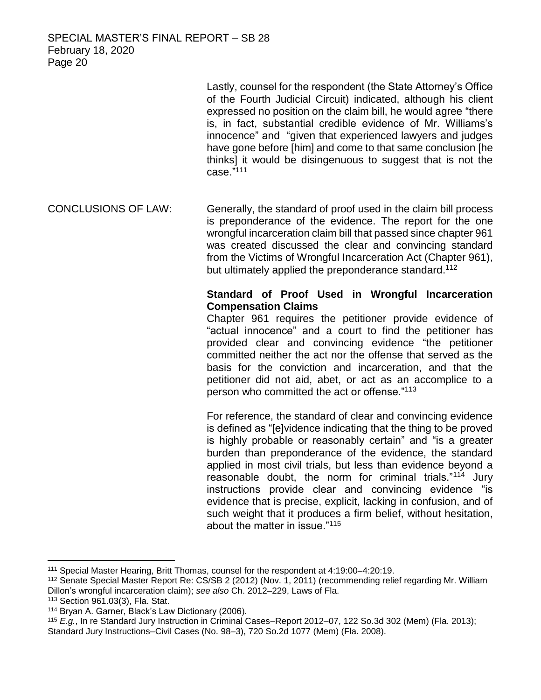Lastly, counsel for the respondent (the State Attorney's Office of the Fourth Judicial Circuit) indicated, although his client expressed no position on the claim bill, he would agree "there is, in fact, substantial credible evidence of Mr. Williams's innocence" and "given that experienced lawyers and judges have gone before [him] and come to that same conclusion [he thinks] it would be disingenuous to suggest that is not the case."<sup>111</sup>

CONCLUSIONS OF LAW: Generally, the standard of proof used in the claim bill process is preponderance of the evidence. The report for the one wrongful incarceration claim bill that passed since chapter 961 was created discussed the clear and convincing standard from the Victims of Wrongful Incarceration Act (Chapter 961), but ultimately applied the preponderance standard.<sup>112</sup>

# **Standard of Proof Used in Wrongful Incarceration Compensation Claims**

Chapter 961 requires the petitioner provide evidence of "actual innocence" and a court to find the petitioner has provided clear and convincing evidence "the petitioner committed neither the act nor the offense that served as the basis for the conviction and incarceration, and that the petitioner did not aid, abet, or act as an accomplice to a person who committed the act or offense."<sup>113</sup>

For reference, the standard of clear and convincing evidence is defined as "[e]vidence indicating that the thing to be proved is highly probable or reasonably certain" and "is a greater burden than preponderance of the evidence, the standard applied in most civil trials, but less than evidence beyond a reasonable doubt, the norm for criminal trials."<sup>114</sup> Jury instructions provide clear and convincing evidence "is evidence that is precise, explicit, lacking in confusion, and of such weight that it produces a firm belief, without hesitation, about the matter in issue."<sup>115</sup>

<sup>111</sup> Special Master Hearing, Britt Thomas, counsel for the respondent at 4:19:00–4:20:19.

<sup>112</sup> Senate Special Master Report Re: CS/SB 2 (2012) (Nov. 1, 2011) (recommending relief regarding Mr. William Dillon's wrongful incarceration claim); *see also* Ch. 2012–229, Laws of Fla.

<sup>113</sup> Section 961.03(3), Fla. Stat.

<sup>114</sup> Bryan A. Garner, Black's Law Dictionary (2006).

<sup>115</sup> *E.g.*, In re Standard Jury Instruction in Criminal Cases–Report 2012–07, 122 So.3d 302 (Mem) (Fla. 2013); Standard Jury Instructions–Civil Cases (No. 98–3), 720 So.2d 1077 (Mem) (Fla. 2008).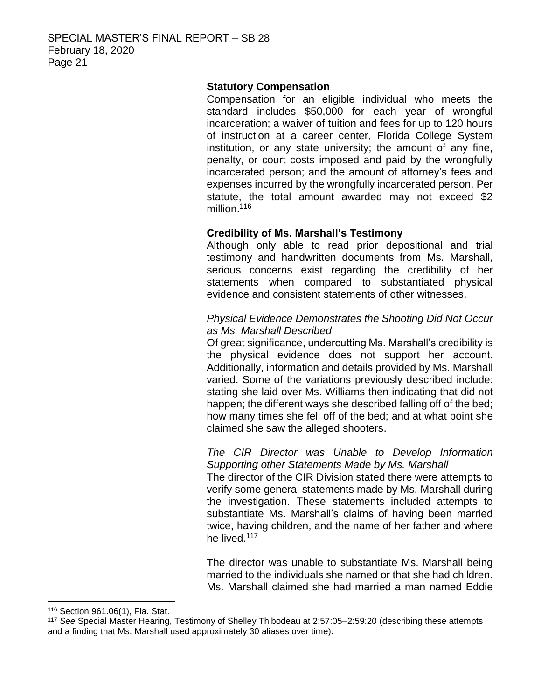## **Statutory Compensation**

Compensation for an eligible individual who meets the standard includes \$50,000 for each year of wrongful incarceration; a waiver of tuition and fees for up to 120 hours of instruction at a career center, Florida College System institution, or any state university; the amount of any fine, penalty, or court costs imposed and paid by the wrongfully incarcerated person; and the amount of attorney's fees and expenses incurred by the wrongfully incarcerated person. Per statute, the total amount awarded may not exceed \$2 million.<sup>116</sup>

## **Credibility of Ms. Marshall's Testimony**

Although only able to read prior depositional and trial testimony and handwritten documents from Ms. Marshall, serious concerns exist regarding the credibility of her statements when compared to substantiated physical evidence and consistent statements of other witnesses.

## *Physical Evidence Demonstrates the Shooting Did Not Occur as Ms. Marshall Described*

Of great significance, undercutting Ms. Marshall's credibility is the physical evidence does not support her account. Additionally, information and details provided by Ms. Marshall varied. Some of the variations previously described include: stating she laid over Ms. Williams then indicating that did not happen; the different ways she described falling off of the bed; how many times she fell off of the bed; and at what point she claimed she saw the alleged shooters.

#### *The CIR Director was Unable to Develop Information Supporting other Statements Made by Ms. Marshall*

The director of the CIR Division stated there were attempts to verify some general statements made by Ms. Marshall during the investigation. These statements included attempts to substantiate Ms. Marshall's claims of having been married twice, having children, and the name of her father and where he lived.<sup>117</sup>

The director was unable to substantiate Ms. Marshall being married to the individuals she named or that she had children. Ms. Marshall claimed she had married a man named Eddie

<sup>116</sup> Section 961.06(1), Fla. Stat.

<sup>117</sup> *See* Special Master Hearing, Testimony of Shelley Thibodeau at 2:57:05–2:59:20 (describing these attempts and a finding that Ms. Marshall used approximately 30 aliases over time).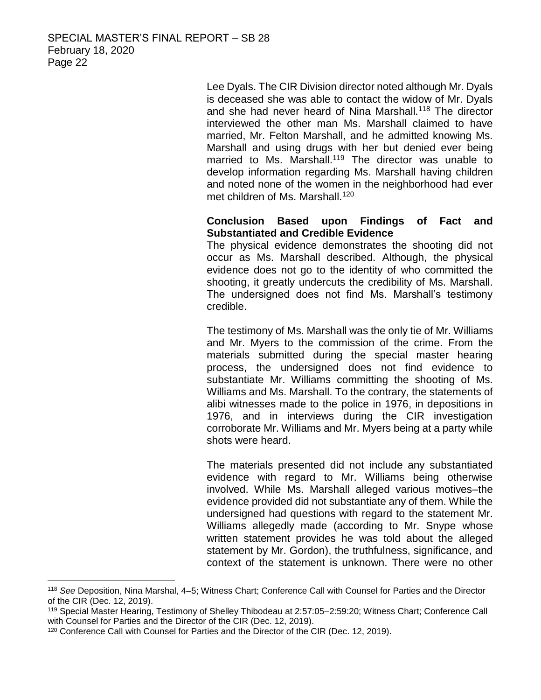Lee Dyals. The CIR Division director noted although Mr. Dyals is deceased she was able to contact the widow of Mr. Dyals and she had never heard of Nina Marshall.<sup>118</sup> The director interviewed the other man Ms. Marshall claimed to have married, Mr. Felton Marshall, and he admitted knowing Ms. Marshall and using drugs with her but denied ever being married to Ms. Marshall.<sup>119</sup> The director was unable to develop information regarding Ms. Marshall having children and noted none of the women in the neighborhood had ever met children of Ms. Marshall.<sup>120</sup>

## **Conclusion Based upon Findings of Fact and Substantiated and Credible Evidence**

The physical evidence demonstrates the shooting did not occur as Ms. Marshall described. Although, the physical evidence does not go to the identity of who committed the shooting, it greatly undercuts the credibility of Ms. Marshall. The undersigned does not find Ms. Marshall's testimony credible.

The testimony of Ms. Marshall was the only tie of Mr. Williams and Mr. Myers to the commission of the crime. From the materials submitted during the special master hearing process, the undersigned does not find evidence to substantiate Mr. Williams committing the shooting of Ms. Williams and Ms. Marshall. To the contrary, the statements of alibi witnesses made to the police in 1976, in depositions in 1976, and in interviews during the CIR investigation corroborate Mr. Williams and Mr. Myers being at a party while shots were heard.

The materials presented did not include any substantiated evidence with regard to Mr. Williams being otherwise involved. While Ms. Marshall alleged various motives–the evidence provided did not substantiate any of them. While the undersigned had questions with regard to the statement Mr. Williams allegedly made (according to Mr. Snype whose written statement provides he was told about the alleged statement by Mr. Gordon), the truthfulness, significance, and context of the statement is unknown. There were no other

<sup>118</sup> *See* Deposition, Nina Marshal, 4–5; Witness Chart; Conference Call with Counsel for Parties and the Director of the CIR (Dec. 12, 2019).

<sup>119</sup> Special Master Hearing, Testimony of Shelley Thibodeau at 2:57:05–2:59:20; Witness Chart; Conference Call with Counsel for Parties and the Director of the CIR (Dec. 12, 2019).

<sup>120</sup> Conference Call with Counsel for Parties and the Director of the CIR (Dec. 12, 2019).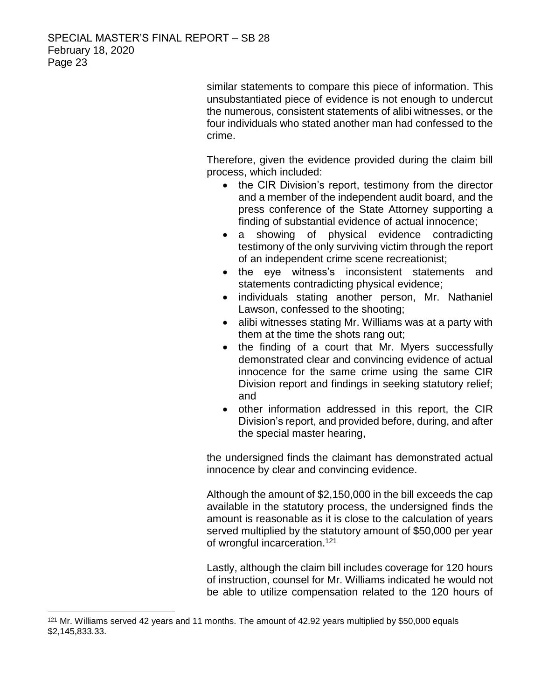similar statements to compare this piece of information. This unsubstantiated piece of evidence is not enough to undercut the numerous, consistent statements of alibi witnesses, or the four individuals who stated another man had confessed to the crime.

Therefore, given the evidence provided during the claim bill process, which included:

- the CIR Division's report, testimony from the director and a member of the independent audit board, and the press conference of the State Attorney supporting a finding of substantial evidence of actual innocence;
- a showing of physical evidence contradicting testimony of the only surviving victim through the report of an independent crime scene recreationist;
- the eye witness's inconsistent statements and statements contradicting physical evidence;
- individuals stating another person, Mr. Nathaniel Lawson, confessed to the shooting;
- alibi witnesses stating Mr. Williams was at a party with them at the time the shots rang out;
- the finding of a court that Mr. Myers successfully demonstrated clear and convincing evidence of actual innocence for the same crime using the same CIR Division report and findings in seeking statutory relief; and
- other information addressed in this report, the CIR Division's report, and provided before, during, and after the special master hearing,

the undersigned finds the claimant has demonstrated actual innocence by clear and convincing evidence.

Although the amount of \$2,150,000 in the bill exceeds the cap available in the statutory process, the undersigned finds the amount is reasonable as it is close to the calculation of years served multiplied by the statutory amount of \$50,000 per year of wrongful incarceration.<sup>121</sup>

Lastly, although the claim bill includes coverage for 120 hours of instruction, counsel for Mr. Williams indicated he would not be able to utilize compensation related to the 120 hours of

 $121$  Mr. Williams served 42 years and 11 months. The amount of 42.92 years multiplied by \$50,000 equals \$2,145,833.33.